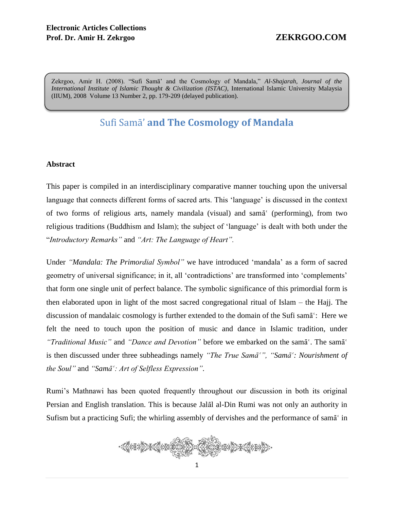Zekrgoo, Amir H. (2008). "Sufi Samā' and the Cosmology of Mandala," *Al-Shajarah, Journal of the International Institute of Islamic Thought & Civilization (ISTAC)*, International Islamic University Malaysia (IIUM), 2008 Volume 13 Number 2, pp. 179-209 (delayed publication).

# Sufi Samā' **and The Cosmology of Mandala**

### **Abstract**

This paper is compiled in an interdisciplinary comparative manner touching upon the universal language that connects different forms of sacred arts. This 'language' is discussed in the context of two forms of religious arts, namely mandala (visual) and sama (performing), from two religious traditions (Buddhism and Islam); the subject of 'language' is dealt with both under the "*Introductory Remarks"* and *"Art: The Language of Heart".*

Under *"Mandala: The Primordial Symbol"* we have introduced 'mandala' as a form of sacred geometry of universal significance; in it, all 'contradictions' are transformed into 'complements' that form one single unit of perfect balance. The symbolic significance of this primordial form is then elaborated upon in light of the most sacred congregational ritual of Islam – the Hajj. The discussion of mandalaic cosmology is further extended to the domain of the Sufi sam $\bar{a}$ . Here we felt the need to touch upon the position of music and dance in Islamic tradition, under *"Traditional Music"* and *"Dance and Devotion"* before we embarked on the sama<sup>c</sup>. The sama<sup>c</sup> is then discussed under three subheadings namely *"The True Sama<sup>7</sup>*", "Sama<sup>7</sup>: Nourishment of *the Soul"* and "*Sama<sup><i>'*</sup>: Art of Selfless Expression".

Rumi's Mathnawi has been quoted frequently throughout our discussion in both its original Persian and English translation. This is because Jala al-Din Rumi was not only an authority in Sufism but a practicing Sufi; the whirling assembly of dervishes and the performance of sam $\bar{a}^{\prime}$  in

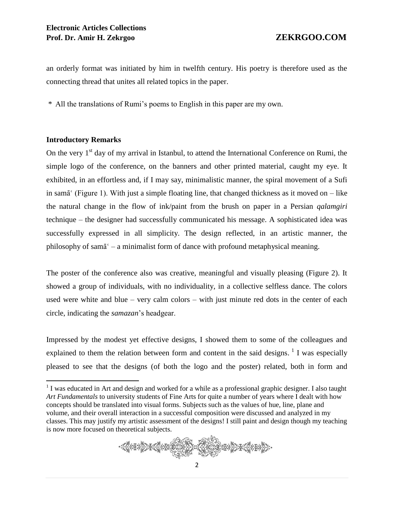an orderly format was initiated by him in twelfth century. His poetry is therefore used as the connecting thread that unites all related topics in the paper.

\* All the translations of Rumi's poems to English in this paper are my own.

# **Introductory Remarks**

 $\overline{a}$ 

On the very  $1<sup>st</sup>$  day of my arrival in Istanbul, to attend the International Conference on Rumi, the simple logo of the conference, on the banners and other printed material, caught my eye. It exhibited, in an effortless and, if I may say, minimalistic manner, the spiral movement of a Sufi in sam $\bar{a}^{\prime}$  (Figure 1). With just a simple floating line, that changed thickness as it moved on – like the natural change in the flow of ink/paint from the brush on paper in a Persian *qalamgiri* technique – the designer had successfully communicated his message. A sophisticated idea was successfully expressed in all simplicity. The design reflected, in an artistic manner, the philosophy of sam $\bar{a}^c$  – a minimalist form of dance with profound metaphysical meaning.

The poster of the conference also was creative, meaningful and visually pleasing (Figure 2). It showed a group of individuals, with no individuality, in a collective selfless dance. The colors used were white and blue – very calm colors – with just minute red dots in the center of each circle, indicating the *samazan*'s headgear.

Impressed by the modest yet effective designs, I showed them to some of the colleagues and explained to them the relation between form and content in the said designs.  $\frac{1}{1}$  I was especially pleased to see that the designs (of both the logo and the poster) related, both in form and

 $1$  I was educated in Art and design and worked for a while as a professional graphic designer. I also taught *Art Fundamentals* to university students of Fine Arts for quite a number of years where I dealt with how concepts should be translated into visual forms. Subjects such as the values of hue, line, plane and volume, and their overall interaction in a successful composition were discussed and analyzed in my classes. This may justify my artistic assessment of the designs! I still paint and design though my teaching is now more focused on theoretical subjects.

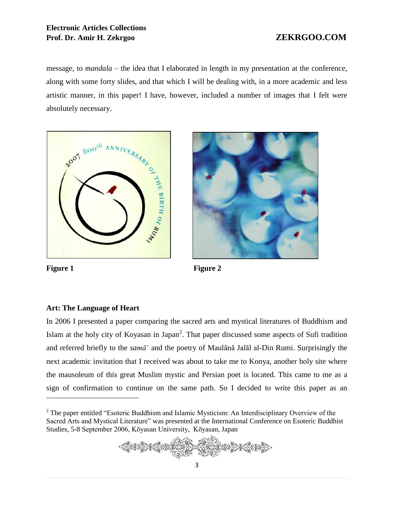# **Electronic Articles Collections Prof. Dr. Amir H. Zekrgoo ZEKRGOO.COM**

message, to *mandala* – the idea that I elaborated in length in my presentation at the conference, along with some forty slides, and that which I will be dealing with, in a more academic and less artistic manner, in this paper! I have, however, included a number of images that I felt were absolutely necessary.





 $\overline{a}$ 

Figure 1 Figure 2

# **Art: The Language of Heart**

In 2006 I presented a paper comparing the sacred arts and mystical literatures of Buddhism and Islam at the holy city of Koyasan in Japan<sup>2</sup>. That paper discussed some aspects of Sufi tradition and referred briefly to the *samā*<sup> $\alpha$ </sup> and the poetry of Maulānā Jalāl al-Din Rumi. Surprisingly the next academic invitation that I received was about to take me to Konya, another holy site where the mausoleum of this great Muslim mystic and Persian poet is located. This came to me as a sign of confirmation to continue on the same path. So I decided to write this paper as an

<sup>&</sup>lt;sup>2</sup> The paper entitled "Esoteric Buddhism and Islamic Mysticism: An Interdisciplinary Overview of the Sacred Arts and Mystical Literature" was presented at the International Conference on Esoteric Buddhist Studies, 5-8 September 2006, Kōyasan University, Kōyasan, Japan

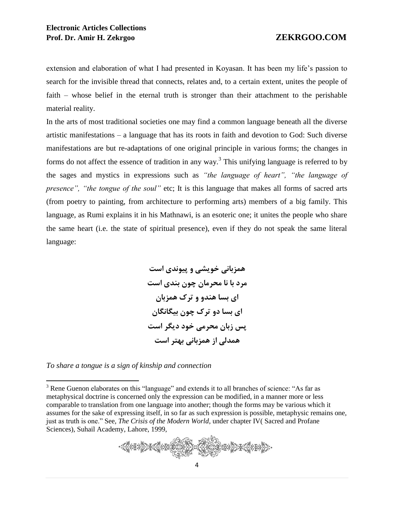extension and elaboration of what I had presented in Koyasan. It has been my life's passion to search for the invisible thread that connects, relates and, to a certain extent, unites the people of faith – whose belief in the eternal truth is stronger than their attachment to the perishable material reality.

In the arts of most traditional societies one may find a common language beneath all the diverse artistic manifestations – a language that has its roots in faith and devotion to God: Such diverse manifestations are but re-adaptations of one original principle in various forms; the changes in forms do not affect the essence of tradition in any way.<sup>3</sup> This unifying language is referred to by the sages and mystics in expressions such as *"the language of heart", "the language of presence", "the tongue of the soul"* etc; It is this language that makes all forms of sacred arts (from poetry to painting, from architecture to performing arts) members of a big family. This language, as Rumi explains it in his Mathnawi, is an esoteric one; it unites the people who share the same heart (i.e. the state of spiritual presence), even if they do not speak the same literal language:

> **همزبانی خویشی و پیوندی است مرد با نا محرمان چون بندی است ای بسا هندو و ترک همزبان ای بسا دو ترک چون بیگانگان پس زبان محرمی خود دیگر است همدلی از همزبانی بهتر است**

*To share a tongue is a sign of kinship and connection*

 $\overline{a}$ 

<sup>&</sup>lt;sup>3</sup> Rene Guenon elaborates on this "language" and extends it to all branches of science: "As far as metaphysical doctrine is concerned only the expression can be modified, in a manner more or less comparable to translation from one language into another; though the forms may be various which it assumes for the sake of expressing itself, in so far as such expression is possible, metaphysic remains one, just as truth is one." See, *The Crisis of the Modern World*, under chapter IV( Sacred and Profane Sciences), Suhail Academy, Lahore, 1999,

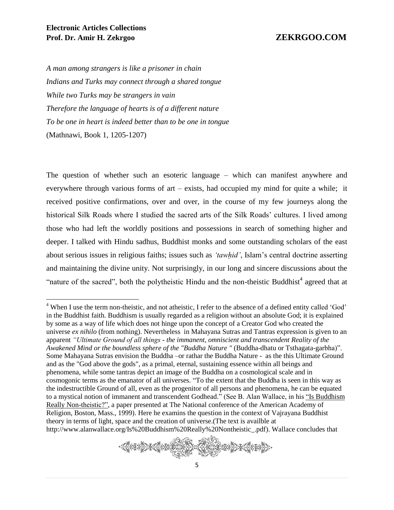*A man among strangers is like a prisoner in chain Indians and Turks may connect through a shared tongue While two Turks may be strangers in vain Therefore the language of hearts is of a different nature To be one in heart is indeed better than to be one in tongue* (Mathnawi, Book 1, 1205-1207)

The question of whether such an esoteric language – which can manifest anywhere and everywhere through various forms of art – exists, had occupied my mind for quite a while; it received positive confirmations, over and over, in the course of my few journeys along the historical Silk Roads where I studied the sacred arts of the Silk Roads' cultures. I lived among those who had left the worldly positions and possessions in search of something higher and deeper. I talked with Hindu sadhus, Buddhist monks and some outstanding scholars of the east about serious issues in religious faiths; issues such as *'tawhid'*, Islam's central doctrine asserting and maintaining the divine unity. Not surprisingly, in our long and sincere discussions about the "nature of the sacred", both the polytheistic Hindu and the non-theistic Buddhist<sup>4</sup> agreed that at

<sup>&</sup>lt;sup>4</sup> When I use the term non-theistic, and not atheistic, I refer to the absence of a defined entity called 'God' in the Buddhist faith. Buddhism is usually regarded as a religion without an absolute God; it is explained by some as a way of life which does not hinge upon the concept of a Creator God who created the universe *ex nihilo* (from nothing). Nevertheless in Mahayana Sutras and Tantras expression is given to an apparent *"Ultimate Ground of all things - the immanent, omniscient and transcendent Reality of the Awakened Mind or the boundless sphere of the "Buddha Nature "* (Buddha-dhatu or Tsthagata-garbha)". Some Mahayana Sutras envision the Buddha –or rathar the Buddha Nature - as the this Ultimate Ground and as the "God above the gods", as a primal, eternal, sustaining essence within all beings and phenomena, while some tantras depict an image of the Buddha on a cosmological scale and in cosmogonic terms as the emanator of all universes. "To the extent that the Buddha is seen in this way as the indestructible Ground of all, even as the progenitor of all persons and phenomena, he can be equated to a mystical notion of immanent and transcendent Godhead." (See B. Alan Wallace, in his "Is Buddhism Really Non-theistic?", a paper presented at The National conference of the American Academy of Religion, Boston, Mass., 1999). Here he examins the question in the context of Vajrayana Buddhist theory in terms of light, space and the creation of universe.(The text is availble at http://www.alanwallace.org/Is%20Buddhism%20Really%20Nontheistic\_.pdf). Wallace concludes that

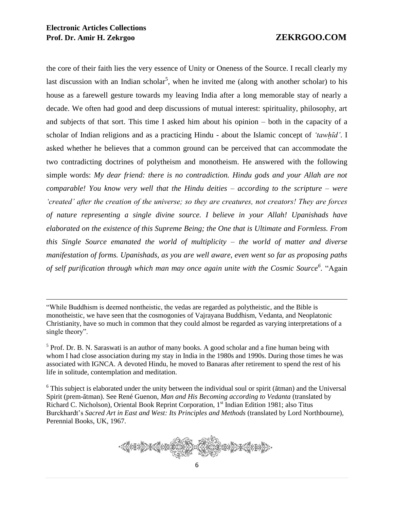the core of their faith lies the very essence of Unity or Oneness of the Source. I recall clearly my last discussion with an Indian scholar<sup>5</sup>, when he invited me (along with another scholar) to his house as a farewell gesture towards my leaving India after a long memorable stay of nearly a decade. We often had good and deep discussions of mutual interest: spirituality, philosophy, art and subjects of that sort. This time I asked him about his opinion – both in the capacity of a scholar of Indian religions and as a practicing Hindu - about the Islamic concept of *'tawhid'*. I asked whether he believes that a common ground can be perceived that can accommodate the two contradicting doctrines of polytheism and monotheism. He answered with the following simple words: *My dear friend: there is no contradiction. Hindu gods and your Allah are not comparable! You know very well that the Hindu deities – according to the scripture – were 'created' after the creation of the universe; so they are creatures, not creators! They are forces of nature representing a single divine source. I believe in your Allah! Upanishads have elaborated on the existence of this Supreme Being; the One that is Ultimate and Formless. From this Single Source emanated the world of multiplicity – the world of matter and diverse manifestation of forms. Upanishads, as you are well aware, even went so far as proposing paths of self purification through which man may once again unite with the Cosmic Source<sup>6</sup> .* "Again

 $6$  This subject is elaborated under the unity between the individual soul or spirit ( $\bar{a}$ tman) and the Universal Spirit (prem-ātman). See René Guenon, *Man and His Becoming according to Vedanta* (translated by Richard C. Nicholson), Oriental Book Reprint Corporation, 1<sup>st</sup> Indian Edition 1981; also Titus Burckhardt's *Sacred Art in East and West: Its Principles and Methods* (translated by Lord Northbourne), Perennial Books, UK, 1967.



<sup>&</sup>quot;While Buddhism is deemed nontheistic, the vedas are regarded as polytheistic, and the Bible is monotheistic, we have seen that the cosmogonies of Vajrayana Buddhism, Vedanta, and Neoplatonic Christianity, have so much in common that they could almost be regarded as varying interpretations of a single theory".

 $<sup>5</sup>$  Prof. Dr. B. N. Saraswati is an author of many books. A good scholar and a fine human being with</sup> whom I had close association during my stay in India in the 1980s and 1990s. During those times he was associated with IGNCA. A devoted Hindu, he moved to Banaras after retirement to spend the rest of his life in solitude, contemplation and meditation.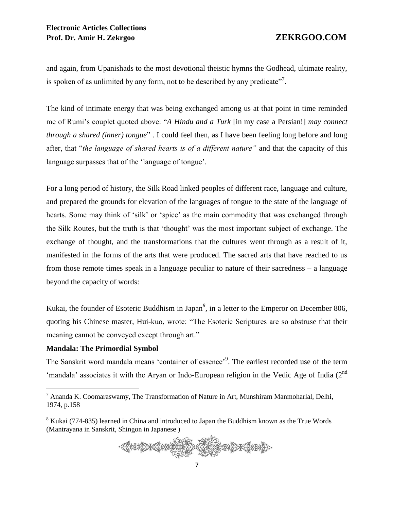and again, from Upanishads to the most devotional theistic hymns the Godhead, ultimate reality, is spoken of as unlimited by any form, not to be described by any predicate"<sup>7</sup>.

The kind of intimate energy that was being exchanged among us at that point in time reminded me of Rumi's couplet quoted above: "*A Hindu and a Turk* [in my case a Persian!] *may connect through a shared (inner) tongue*" . I could feel then, as I have been feeling long before and long after, that "*the language of shared hearts is of a different nature"* and that the capacity of this language surpasses that of the 'language of tongue'.

For a long period of history, the Silk Road linked peoples of different race, language and culture, and prepared the grounds for elevation of the languages of tongue to the state of the language of hearts. Some may think of 'silk' or 'spice' as the main commodity that was exchanged through the Silk Routes, but the truth is that 'thought' was the most important subject of exchange. The exchange of thought, and the transformations that the cultures went through as a result of it, manifested in the forms of the arts that were produced. The sacred arts that have reached to us from those remote times speak in a language peculiar to nature of their sacredness – a language beyond the capacity of words:

Kukai, the founder of Esoteric Buddhism in Japan<sup>8</sup>, in a letter to the Emperor on December 806, quoting his Chinese master, Hui-kuo, wrote: "The Esoteric Scriptures are so abstruse that their meaning cannot be conveyed except through art."

### **Mandala: The Primordial Symbol**

 $\overline{a}$ 

The Sanskrit word mandala means 'container of essence'<sup>9</sup>. The earliest recorded use of the term 'mandala' associates it with the Aryan or Indo-European religion in the Vedic Age of India (2<sup>nd</sup>)

<sup>&</sup>lt;sup>8</sup> Kukai (774-835) learned in China and introduced to Japan the Buddhism known as the True Words (Mantrayana in Sanskrit, Shingon in Japanese )



 $<sup>7</sup>$  Ananda K. Coomaraswamy, The Transformation of Nature in Art, Munshiram Manmoharlal, Delhi,</sup> 1974, p.158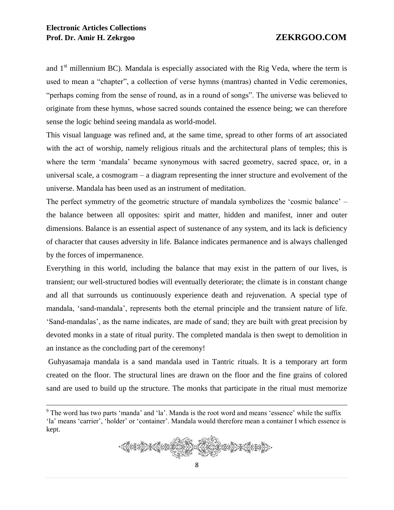# **Electronic Articles Collections Prof. Dr. Amir H. Zekrgoo ZEKRGOO.COM**

 $\overline{a}$ 

and  $1<sup>st</sup>$  millennium BC). Mandala is especially associated with the Rig Veda, where the term is used to mean a "chapter", a collection of verse hymns (mantras) chanted in Vedic ceremonies, "perhaps coming from the sense of round, as in a round of songs". The universe was believed to originate from these hymns, whose sacred sounds contained the essence being; we can therefore sense the logic behind seeing mandala as world-model.

This visual language was refined and, at the same time, spread to other forms of art associated with the act of worship, namely religious rituals and the architectural plans of temples; this is where the term 'mandala' became synonymous with sacred geometry, sacred space, or, in a universal scale, a cosmogram – a diagram representing the inner structure and evolvement of the universe. Mandala has been used as an instrument of meditation.

The perfect symmetry of the geometric structure of mandala symbolizes the 'cosmic balance' – the balance between all opposites: spirit and matter, hidden and manifest, inner and outer dimensions. Balance is an essential aspect of sustenance of any system, and its lack is deficiency of character that causes adversity in life. Balance indicates permanence and is always challenged by the forces of impermanence.

Everything in this world, including the balance that may exist in the pattern of our lives, is transient; our well-structured bodies will eventually deteriorate; the climate is in constant change and all that surrounds us continuously experience death and rejuvenation. A special type of mandala, 'sand-mandala', represents both the eternal principle and the transient nature of life. 'Sand-mandalas', as the name indicates, are made of sand; they are built with great precision by devoted monks in a state of ritual purity. The completed mandala is then swept to demolition in an instance as the concluding part of the ceremony!

Guhyasamaja mandala is a sand mandala used in Tantric rituals. It is a temporary art form created on the floor. The structural lines are drawn on the floor and the fine grains of colored sand are used to build up the structure. The monks that participate in the ritual must memorize

<sup>&</sup>lt;sup>9</sup> The word has two parts 'manda' and 'la'. Manda is the root word and means 'essence' while the suffix 'la' means 'carrier', 'holder' or 'container'. Mandala would therefore mean a container I which essence is kept.

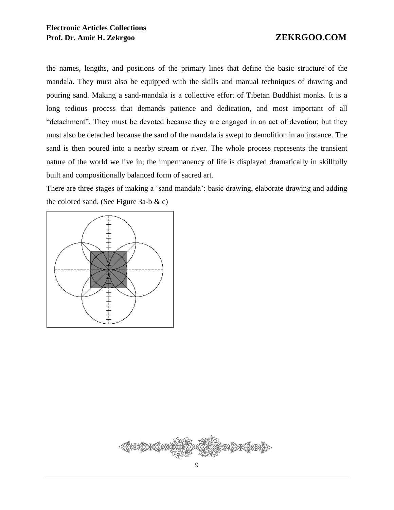the names, lengths, and positions of the primary lines that define the basic structure of the mandala. They must also be equipped with the skills and manual techniques of drawing and pouring sand. Making a sand-mandala is a collective effort of Tibetan Buddhist monks. It is a long tedious process that demands patience and dedication, and most important of all "detachment". They must be devoted because they are engaged in an act of devotion; but they must also be detached because the sand of the mandala is swept to demolition in an instance. The sand is then poured into a nearby stream or river. The whole process represents the transient nature of the world we live in; the impermanency of life is displayed dramatically in skillfully built and compositionally balanced form of sacred art.

There are three stages of making a 'sand mandala': basic drawing, elaborate drawing and adding the colored sand. (See Figure 3a-b & c)



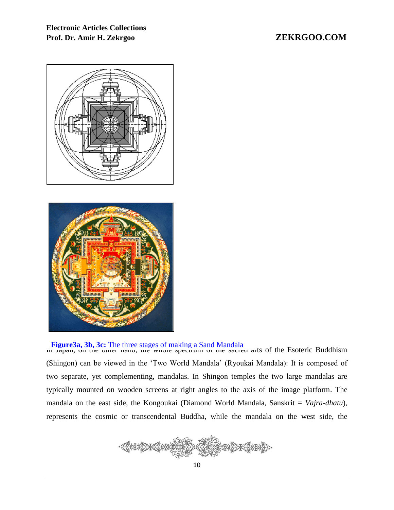# **Electronic Articles Collections Prof. Dr. Amir H. Zekrgoo ZEKRGOO.COM**





# **Figure3a, 3b, 3c:** The three stages of making a Sand Mandala<br>**In Japan, on the other hand, the whole spectrum of the sacred arts of the Esoteric Buddhism**

(Shingon) can be viewed in the 'Two World Mandala' (Ryoukai Mandala): It is composed of two separate, yet complementing, mandalas. In Shingon temples the two large mandalas are typically mounted on wooden screens at right angles to the axis of the image platform. The mandala on the east side, the Kongoukai (Diamond World Mandala, Sanskrit = *Vajra-dhatu*), represents the cosmic or transcendental Buddha, while the mandala on the west side, the

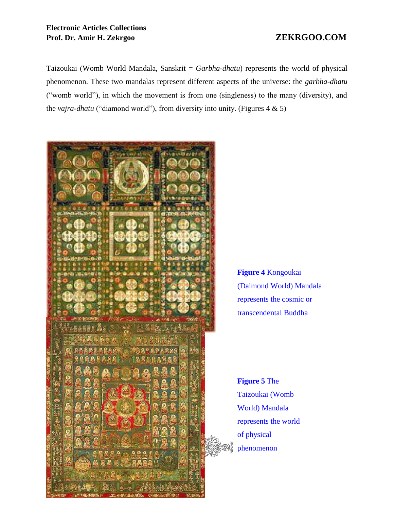# **Electronic Articles Collections Prof. Dr. Amir H. Zekrgoo ZEKRGOO.COM**

Taizoukai (Womb World Mandala, Sanskrit = *Garbha-dhatu*) represents the world of physical phenomenon. These two mandalas represent different aspects of the universe: the *garbha-dhatu* ("womb world"), in which the movement is from one (singleness) to the many (diversity), and the *vajra-dhatu* ("diamond world"), from diversity into unity. (Figures 4 & 5)



**Figure 4** Kongoukai (Daimond World) Mandala represents the cosmic or transcendental Buddha

**Figure 5** The Taizoukai (Womb World) Mandala represents the world of physical phenomenon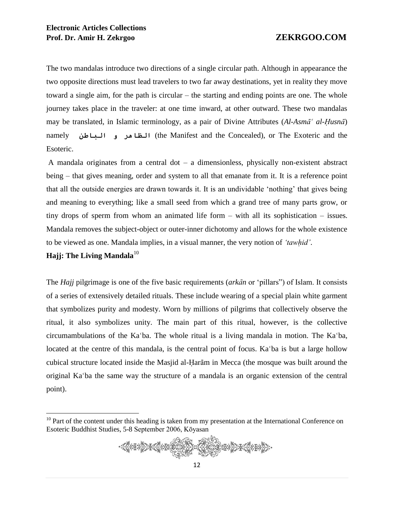The two mandalas introduce two directions of a single circular path. Although in appearance the two opposite directions must lead travelers to two far away destinations, yet in reality they move toward a single aim, for the path is circular – the starting and ending points are one. The whole journey takes place in the traveler: at one time inward, at other outward. These two mandalas may be translated, in Islamic terminology, as a pair of Divine Attributes (*Al-Asma<sup>c al-Husna*<sup>)</sup></sup> namely البظاهر و البياطن (the Manifest and the Concealed), or The Exoteric and the Esoteric.

A mandala originates from a central dot – a dimensionless, physically non-existent abstract being – that gives meaning, order and system to all that emanate from it. It is a reference point that all the outside energies are drawn towards it. It is an undividable 'nothing' that gives being and meaning to everything; like a small seed from which a grand tree of many parts grow, or tiny drops of sperm from whom an animated life form – with all its sophistication – issues. Mandala removes the subject-object or outer-inner dichotomy and allows for the whole existence to be viewed as one. Mandala implies, in a visual manner, the very notion of *'tawÍid'*.

# **Hajj: The Living Mandala**<sup>10</sup>

 $\overline{a}$ 

The *Hajj* pilgrimage is one of the five basic requirements (*arkān* or 'pillars'') of Islam. It consists of a series of extensively detailed rituals. These include wearing of a special plain white garment that symbolizes purity and modesty. Worn by millions of pilgrims that collectively observe the ritual, it also symbolizes unity. The main part of this ritual, however, is the collective circumambulations of the Ka'ba. The whole ritual is a living mandala in motion. The Ka'ba, located at the centre of this mandala, is the central point of focus. Ka'ba is but a large hollow cubical structure located inside the Masjid al-Haram in Mecca (the mosque was built around the original Ka'ba the same way the structure of a mandala is an organic extension of the central point).

 $10$  Part of the content under this heading is taken from my presentation at the International Conference on Esoteric Buddhist Studies, 5-8 September 2006, Kōyasan

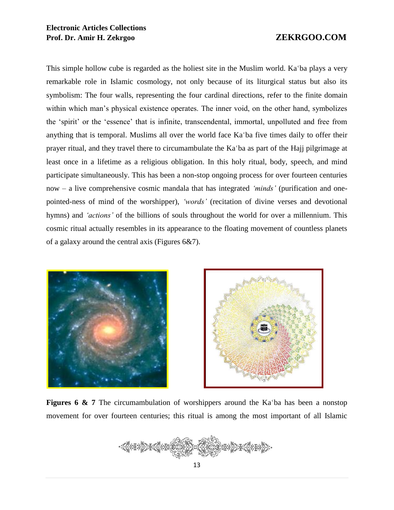# **Electronic Articles Collections Prof. Dr. Amir H. Zekrgoo ZEKRGOO.COM**

This simple hollow cube is regarded as the holiest site in the Muslim world. Ka 'ba plays a very remarkable role in Islamic cosmology, not only because of its liturgical status but also its symbolism: The four walls, representing the four cardinal directions, refer to the finite domain within which man's physical existence operates. The inner void, on the other hand, symbolizes the 'spirit' or the 'essence' that is infinite, transcendental, immortal, unpolluted and free from anything that is temporal. Muslims all over the world face Ka'ba five times daily to offer their prayer ritual, and they travel there to circumambulate the Ka'ba as part of the Hajj pilgrimage at least once in a lifetime as a religious obligation. In this holy ritual, body, speech, and mind participate simultaneously. This has been a non-stop ongoing process for over fourteen centuries now – a live comprehensive cosmic mandala that has integrated *'minds'* (purification and onepointed-ness of mind of the worshipper), *'words'* (recitation of divine verses and devotional hymns) and *'actions'* of the billions of souls throughout the world for over a millennium. This cosmic ritual actually resembles in its appearance to the floating movement of countless planets of a galaxy around the central axis (Figures 6&7).





**Figures 6 & 7** The circumambulation of worshippers around the Ka'ba has been a nonstop movement for over fourteen centuries; this ritual is among the most important of all Islamic

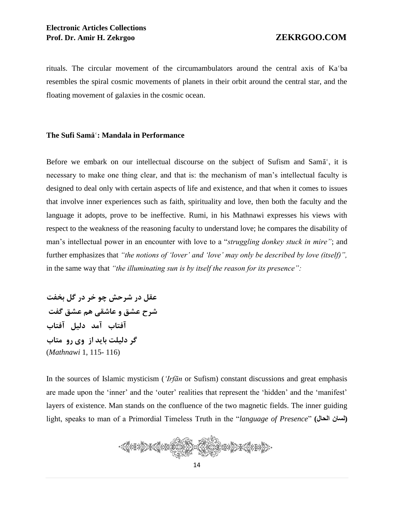rituals. The circular movement of the circumambulators around the central axis of Ka'ba resembles the spiral cosmic movements of planets in their orbit around the central star, and the floating movement of galaxies in the cosmic ocean.

### **The Sufi Sama<sup>®</sup>: Mandala in Performance**

Before we embark on our intellectual discourse on the subject of Sufism and Sama<sup>c</sup>, it is necessary to make one thing clear, and that is: the mechanism of man's intellectual faculty is designed to deal only with certain aspects of life and existence, and that when it comes to issues that involve inner experiences such as faith, spirituality and love, then both the faculty and the language it adopts, prove to be ineffective. Rumi, in his Mathnawi expresses his views with respect to the weakness of the reasoning faculty to understand love; he compares the disability of man's intellectual power in an encounter with love to a "*struggling donkey stuck in mire"*; and further emphasizes that *"the notions of 'lover' and 'love' may only be described by love (itself)",*  in the same way that *"the illuminating sun is by itself the reason for its presence":*

**عقل در شرحش چو خر در گل بخفت شرح عشق و عاشقی هم عشق گفت آفتاب آمد دلیل آفتاب گر دلیلت باید از وی رو متاب** (*Mathnawi* 1, 115- 116)

In the sources of Islamic mysticism (*'Irfān* or Sufism) constant discussions and great emphasis are made upon the 'inner' and the 'outer' realities that represent the 'hidden' and the 'manifest' layers of existence. Man stands on the confluence of the two magnetic fields. The inner guiding light, speaks to man of a Primordial Timeless Truth in the "*language of Presence*" **(الحال لسان (**

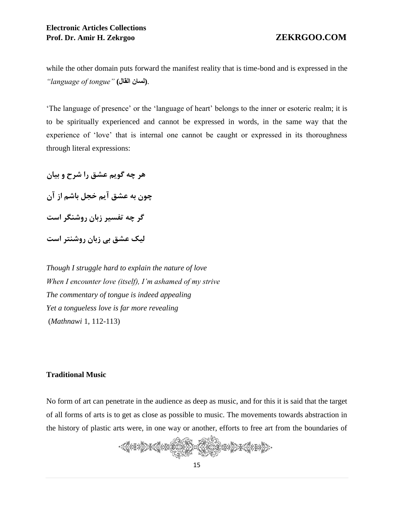while the other domain puts forward the manifest reality that is time-bond and is expressed in the *"language of tongue"* **(القال لسان(**.

'The language of presence' or the 'language of heart' belongs to the inner or esoteric realm; it is to be spiritually experienced and cannot be expressed in words, in the same way that the experience of 'love' that is internal one cannot be caught or expressed in its thoroughness through literal expressions:

**هر چه گویم عشق را شرح و بیان چون به عشق آیم خجل باشم از آن گر چه تفسیر زبان روشنگر است لیک عشق بی زبان روشنتر است**

*Though I struggle hard to explain the nature of love When I encounter love (itself), I'm ashamed of my strive The commentary of tongue is indeed appealing Yet a tongueless love is far more revealing* (*Mathnawi* 1, 112-113)

### **Traditional Music**

No form of art can penetrate in the audience as deep as music, and for this it is said that the target of all forms of arts is to get as close as possible to music. The movements towards abstraction in the history of plastic arts were, in one way or another, efforts to free art from the boundaries of

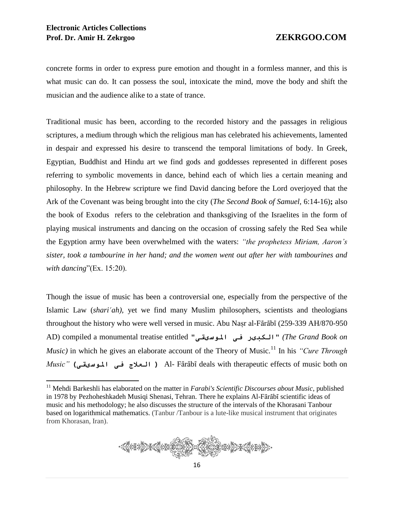concrete forms in order to express pure emotion and thought in a formless manner, and this is what music can do. It can possess the soul, intoxicate the mind, move the body and shift the musician and the audience alike to a state of trance.

Traditional music has been, according to the recorded history and the passages in religious scriptures, a medium through which the religious man has celebrated his achievements, lamented in despair and expressed his desire to transcend the temporal limitations of body. In Greek, Egyptian, Buddhist and Hindu art we find gods and goddesses represented in different poses referring to symbolic movements in dance, behind each of which lies a certain meaning and philosophy. In the Hebrew scripture we find David dancing before the Lord overjoyed that the Ark of the Covenant was being brought into the city (*The Second Book of Samuel,* 6:14-16)**;** also the book of Exodus refers to the celebration and thanksgiving of the Israelites in the form of playing musical instruments and dancing on the occasion of crossing safely the Red Sea while the Egyption army have been overwhelmed with the waters: *"the prophetess Miriam, Aaron's sister, took a tambourine in her hand; and the women went out after her with tambourines and with dancing*"(Ex. 15:20).

Though the issue of music has been a controversial one, especially from the perspective of the Islamic Law (*shari'ah*), yet we find many Muslim philosophers, scientists and theologians throughout the history who were well versed in music. Abu Naṣr al-Fārābī (259-339 AH/870-950 AD) compiled a monumental treatise entitled "املوسیقی فی الکبیر*)* "*The Grand Book on Music)* in which he gives an elaborate account of the Theory of Music.<sup>11</sup> In his *"Cure Through Music*" (العلاج فی الموسیقی *)* Al- Fārābī deals with therapeutic effects of music both on

<sup>&</sup>lt;sup>11</sup> Mehdi Barkeshli has elaborated on the matter in *Farabi's Scientific Discourses about Music*, published in 1978 by Pezhoheshkadeh Musiqi Shenasi, Tehran. There he explains Al-Fārābī scientific ideas of music and his methodology; he also discusses the structure of the intervals of the Khorasani Tanbour based on logarithmical mathematics. (Tanbur /Tanbour is a lute-like musical instrument that originates from Khorasan, Iran).

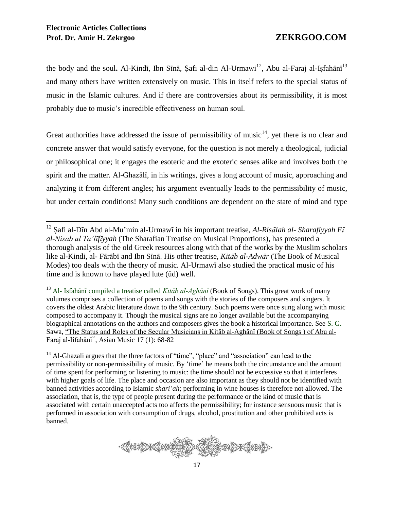the body and the soul. Al-Kindī, Ibn Sīnā, Șafi al-din Al-Urmawi<sup>12</sup>, Abu al-Faraj al-Ișfahānī<sup>13</sup> and many others have written extensively on music. This in itself refers to the special status of music in the Islamic cultures. And if there are controversies about its permissibility, it is most probably due to music's incredible effectiveness on human soul.

Great authorities have addressed the issue of permissibility of music<sup>14</sup>, yet there is no clear and concrete answer that would satisfy everyone, for the question is not merely a theological, judicial or philosophical one; it engages the esoteric and the exoteric senses alike and involves both the spirit and the matter. Al-Ghazālī, in his writings, gives a long account of music, approaching and analyzing it from different angles; his argument eventually leads to the permissibility of music, but under certain conditions! Many such conditions are dependent on the state of mind and type

<sup>&</sup>lt;sup>14</sup> Al-Ghazali argues that the three factors of "time", "place" and "association" can lead to the permissibility or non-permissibility of music. By 'time' he means both the circumstance and the amount of time spent for performing or listening to music: the time should not be excessive so that it interferes with higher goals of life. The place and occasion are also important as they should not be identified with banned activities according to Islamic *shari<sup><i>cah*</sup>; performing in wine houses is therefore not allowed. The association, that is, the type of people present during the performance or the kind of music that is associated with certain unaccepted acts too affects the permissibility; for instance sensuous music that is performed in association with consumption of drugs, alcohol, prostitution and other prohibited acts is banned.



<sup>&</sup>lt;sup>12</sup> Safi al-Dīn Abd al-Mu'min al-Urmawī in his important treatise, *Al-Risālah al- Sharafiyyah Fī al-Nisab al Ta'lÊfÊyyah* (The Sharafian Treatise on Musical Proportions), has presented a thorough analysis of the old Greek resources along with that of the works by the Muslim scholars like al-Kindi, al- Fārābī and Ibn Sīnā. His other treatise, *Kitāb al-Adwār* (The Book of Musical Modes) too deals with the theory of music. Al-Urmawi also studied the practical music of his time and is known to have played lute ( $\bar{u}$ d) well.

<sup>&</sup>lt;sup>13</sup> Al- Isfahānī compiled a treatise called *Kitāb al-Aghānī* (Book of Songs). This great work of many volumes comprises a collection of poems and songs with the stories of the composers and singers. It covers the oldest Arabic literature down to the 9th century. Such poems were once sung along with music composed to accompany it. Though the musical signs are no longer available but the accompanying biographical annotations on the authors and composers gives the book a historical importance. See S. G. Sawa, "The Status and Roles of the Secular Musicians in Kitāb al-Aghānī (Book of Songs) of Abu al-Faraj al-Iîfahānī", Asian Music 17 (1): 68-82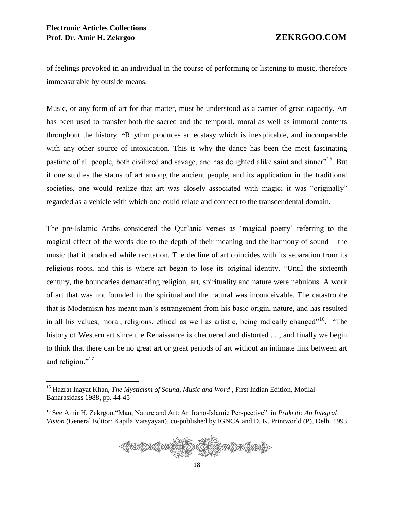of feelings provoked in an individual in the course of performing or listening to music, therefore immeasurable by outside means.

Music, or any form of art for that matter, must be understood as a carrier of great capacity. Art has been used to transfer both the sacred and the temporal, moral as well as immoral contents throughout the history. **"**Rhythm produces an ecstasy which is inexplicable, and incomparable with any other source of intoxication. This is why the dance has been the most fascinating pastime of all people, both civilized and savage, and has delighted alike saint and sinner"<sup>15</sup>. But if one studies the status of art among the ancient people, and its application in the traditional societies, one would realize that art was closely associated with magic; it was "originally" regarded as a vehicle with which one could relate and connect to the transcendental domain.

The pre-Islamic Arabs considered the Qur'anic verses as 'magical poetry' referring to the magical effect of the words due to the depth of their meaning and the harmony of sound – the music that it produced while recitation. The decline of art coincides with its separation from its religious roots, and this is where art began to lose its original identity. "Until the sixteenth century, the boundaries demarcating religion, art, spirituality and nature were nebulous. A work of art that was not founded in the spiritual and the natural was inconceivable. The catastrophe that is Modernism has meant man's estrangement from his basic origin, nature, and has resulted in all his values, moral, religious, ethical as well as artistic, being radically changed"<sup>16</sup>. "The history of Western art since the Renaissance is chequered and distorted . . , and finally we begin to think that there can be no great art or great periods of art without an intimate link between art and religion."<sup>17</sup>

<sup>&</sup>lt;sup>16</sup> See Amir H. Zekrgoo, "Man, Nature and Art: An Irano-Islamic Perspective" in *Prakriti: An Integral Vision* (General Editor: Kapila Vatsyayan), co-published by IGNCA and D. K. Printworld (P), Delhi 1993



<sup>15</sup> Hazrat Inayat Khan, *The Mysticism of Sound, Music and Word* , First Indian Edition, Motilal Banarasidass 1988, pp. 44-45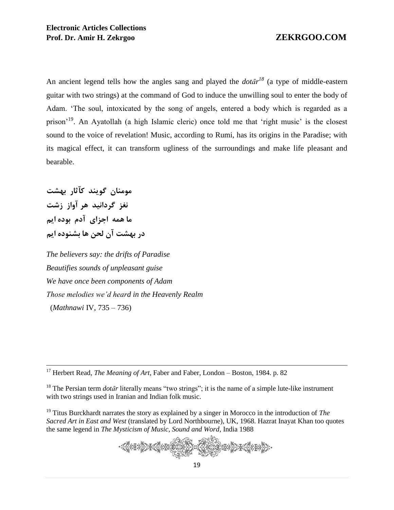An ancient legend tells how the angles sang and played the  $dot\{ar}^{18}$  (a type of middle-eastern guitar with two strings) at the command of God to induce the unwilling soul to enter the body of Adam. 'The soul, intoxicated by the song of angels, entered a body which is regarded as a prison<sup>'19</sup>. An Ayatollah (a high Islamic cleric) once told me that 'right music' is the closest sound to the voice of revelation! Music, according to Rumi, has its origins in the Paradise; with its magical effect, it can transform ugliness of the surroundings and make life pleasant and bearable.

**مومنان گویند کآثار بهشت نغز گردانید هر آواز زشت ما همه اجزای آدم بوده ایم در بهشت آن لحن ها بشنوده ایم**

 $\overline{a}$ 

*The believers say: the drifts of Paradise Beautifies sounds of unpleasant guise We have once been components of Adam Those melodies we'd heard in the Heavenly Realm* (*Mathnawi* IV, 735 – 736)

<sup>17</sup> Herbert Read, *The Meaning of Art*, Faber and Faber, London – Boston, 1984. p. 82

<sup>18</sup> The Persian term *dotar* literally means "two strings"; it is the name of a simple lute-like instrument with two strings used in Iranian and Indian folk music.

<sup>19</sup> Titus Burckhardt narrates the story as explained by a singer in Morocco in the introduction of *The Sacred Art in East and West* (translated by Lord Northbourne), UK, 1968. Hazrat Inayat Khan too quotes the same legend in *The Mysticism of Music, Sound and Word*, India 1988

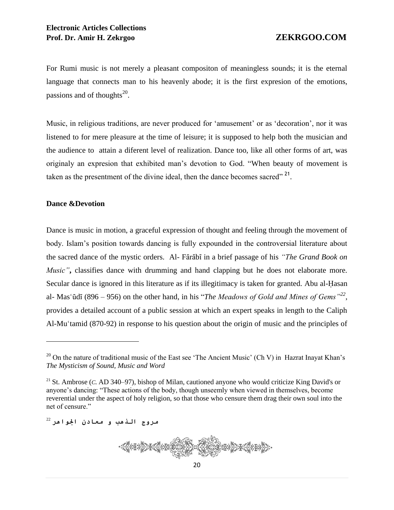For Rumi music is not merely a pleasant compositon of meaningless sounds; it is the eternal language that connects man to his heavenly abode; it is the first expresion of the emotions, passions and of thoughts<sup>20</sup>.

Music, in religious traditions, are never produced for 'amusement' or as 'decoration', nor it was listened to for mere pleasure at the time of leisure; it is supposed to help both the musician and the audience to attain a diferent level of realization. Dance too, like all other forms of art, was originaly an expresion that exhibited man's devotion to God. "When beauty of movement is taken as the presentment of the divine ideal, then the dance becomes sacred"<sup>21</sup>.

# **Dance &Devotion**

 $\overline{a}$ 

Dance is music in motion, a graceful expression of thought and feeling through the movement of body. Islam's position towards dancing is fully expounded in the controversial literature about the sacred dance of the mystic orders. Al-Fārābī in a brief passage of his *"The Grand Book on Music*", classifies dance with drumming and hand clapping but he does not elaborate more. Secular dance is ignored in this literature as if its illegitimacy is taken for granted. Abu al-Hasan al- Mas'ūdī (896 – 956) on the other hand, in his "*The Meadows of Gold and Mines of Gems*"<sup>22</sup>, provides a detailed account of a public session at which an expert speaks in length to the Caliph Al-Mu<sup> $\tau$ </sup>tamid (870-92) in response to his question about the origin of music and the principles of

مروج الذهب و معادن اجلواهر <sup>22</sup>



<sup>&</sup>lt;sup>20</sup> On the nature of traditional music of the East see 'The Ancient Music' (Ch V) in Hazrat Inayat Khan's *The Mysticism of Sound, Music and Word*

<sup>21</sup> St. Ambrose (*C.* AD 340–97), bishop of Milan, cautioned anyone who would criticize King David's or anyone's dancing: "These actions of the body, though unseemly when viewed in themselves, become reverential under the aspect of holy religion, so that those who censure them drag their own soul into the net of censure."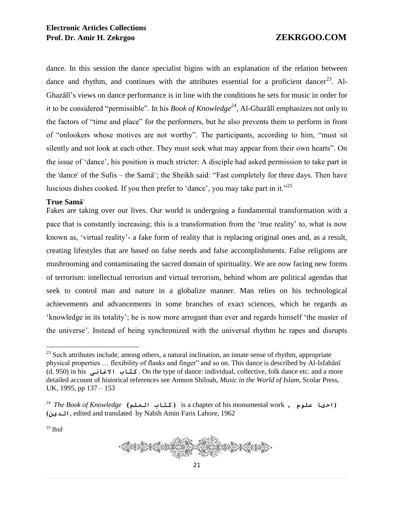dance. In this session the dance specialist bigins with an explanation of the relation between dance and rhythm, and continues with the attributes essential for a proficient dancer<sup>23</sup>. Al-Ghazālī's views on dance performance is in line with the conditions he sets for music in order for it to be considered "permissible". In his *Book of Knowledge*<sup>24</sup>, Al-Ghazali emphasizes not only to the factors of "time and place" for the performers, but he also prevents them to perform in front of "onlookers whose motives are not worthy". The participants, according to him, "must sit silently and not look at each other. They must seek what may appear from their own hearts". On the issue of 'dance', his position is much stricter: A disciple had asked permission to take part in the 'dance' of the Sufis – the Sam $\bar{a}$ '; the Sheikh said: "Fast completely for three days. Then have luscious dishes cooked. If you then prefer to 'dance', you may take part in it."<sup>25</sup>

### $T$ rue Sam**ā**

Fakes are taking over our lives. Our world is undergoing a fundamental transformation with a pace that is constantly increasing; this is a transformation from the 'true reality' to, what is now known as, 'virtual reality'- a fake form of reality that is replacing original ones and, as a result, creating lifestyles that are based on false needs and false accomplishments. False religions are mushrooming and contaminating the sacred domain of spirituality. We are now facing new forms of terrorism: intellectual terrorism and virtual terrorism, behind whom are political agendas that seek to control man and nature in a globalize manner. Man relies on his technological achievements and advancements in some branches of exact sciences, which he regards as 'knowledge in its totality'; he is now more arrogant than ever and regards himself 'the master of the universe'. Instead of being synchronized with the universal rhythm he rapes and disrupts

 $25$  Ibid

 $\overline{a}$ 



 $^{23}$  Such attributes include, among others, a natural inclination, an innate sense of rhythm, appropriate physical properties ... flexibility of flanks and finger" and so on. This dance is described by Al-Isfahānī (d. 950) in his االغانی کتاب . On the type of dance: individual, collective, folk dance etc. and a more detailed account of historical references see Amnon Shiloah, *Music in the World of Islam,* Scolar Press, UK, 1995, pp 137 – 153

<sup>24</sup> *The Book of Knowledge* **(**العلم کتاب **)** is a chapter of his monumental work **,** علوم احیا**) )**الدین, edited and translated by Nabih Amin Faris Lahore, 1962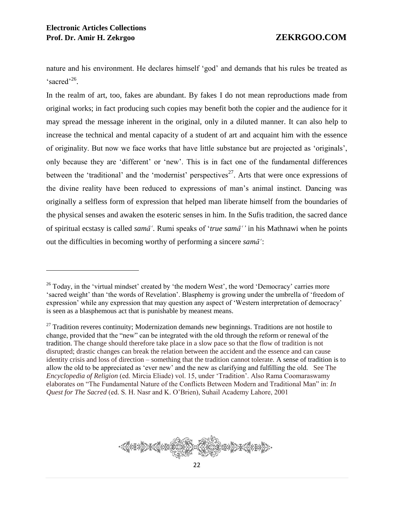nature and his environment. He declares himself 'god' and demands that his rules be treated as 'sacred'<sup>26</sup>.

In the realm of art, too, fakes are abundant. By fakes I do not mean reproductions made from original works; in fact producing such copies may benefit both the copier and the audience for it may spread the message inherent in the original, only in a diluted manner. It can also help to increase the technical and mental capacity of a student of art and acquaint him with the essence of originality. But now we face works that have little substance but are projected as 'originals', only because they are 'different' or 'new'. This is in fact one of the fundamental differences between the 'traditional' and the 'modernist' perspectives<sup>27</sup>. Arts that were once expressions of the divine reality have been reduced to expressions of man's animal instinct. Dancing was originally a selfless form of expression that helped man liberate himself from the boundaries of the physical senses and awaken the esoteric senses in him. In the Sufis tradition, the sacred dance of spiritual ecstasy is called *sama<sup>'</sup>*. Rumi speaks of '*true sama<sup>'</sup>*' in his Mathnawi when he points out the difficulties in becoming worthy of performing a sincere *sama*<sup> $\cdot$ </sup>:



<sup>&</sup>lt;sup>26</sup> Today, in the 'virtual mindset' created by 'the modern West', the word 'Democracy' carries more 'sacred weight' than 'the words of Revelation'. Blasphemy is growing under the umbrella of 'freedom of expression' while any expression that may question any aspect of 'Western interpretation of democracy' is seen as a blasphemous act that is punishable by meanest means.

 $27$  Tradition reveres continuity; Modernization demands new beginnings. Traditions are not hostile to change, provided that the "new" can be integrated with the old through the reform or renewal of the tradition. The change should therefore take place in a slow pace so that the flow of tradition is not disrupted; drastic changes can break the relation between the accident and the essence and can cause identity crisis and loss of direction – something that the tradition cannot tolerate. A sense of tradition is to allow the old to be appreciated as 'ever new' and the new as clarifying and fulfilling the old. See The *Encyclopedia of Religion* (ed. Mircia Eliade) vol. 15, under 'Tradition'. Also Rama Coomaraswamy elaborates on "The Fundamental Nature of the Conflicts Between Modern and Traditional Man" in: *In Quest for The Sacred* (ed. S. H. Nasr and K. O'Brien), Suhail Academy Lahore, 2001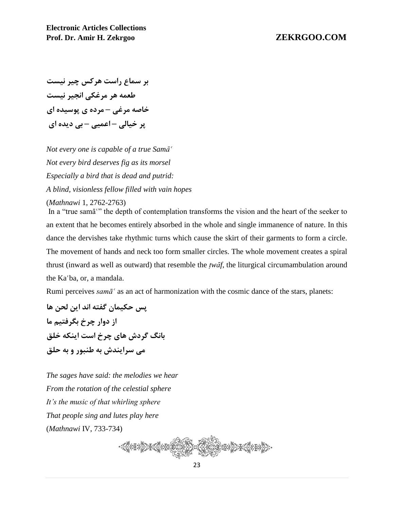**بر سماع راست هرکس چیر نیست طعمه هر مرغکی انجیر نیست خاصه مرغی – مرده ی پوسیده ای پر خیالی – اعمیی – بی دیده ای** 

*Not every one is capable of a true Sam* $\bar{a}^{\epsilon}$ *Not every bird deserves fig as its morsel Especially a bird that is dead and putrid: A blind, visionless fellow filled with vain hopes*

(*Mathnawi* 1, 2762-2763)

In a "true sama" the depth of contemplation transforms the vision and the heart of the seeker to an extent that he becomes entirely absorbed in the whole and single immanence of nature. In this dance the dervishes take rhythmic turns which cause the skirt of their garments to form a circle. The movement of hands and neck too form smaller circles. The whole movement creates a spiral thrust (inward as well as outward) that resemble the *twat*, the liturgical circumambulation around the Ka'ba, or, a mandala.

Rumi perceives *samā*<sup> $\alpha$ </sup> as an act of harmonization with the cosmic dance of the stars, planets:

**پس حکیمان گفته اند این لحن ها از دوار چرخ بگرفتیم ما بانگ گردش های چرخ است اینکه خلق می سرایندش به طنبور و به حلق**

*The sages have said: the melodies we hear From the rotation of the celestial sphere It's the music of that whirling sphere That people sing and lutes play here* (*Mathnawi* IV, 733-734)

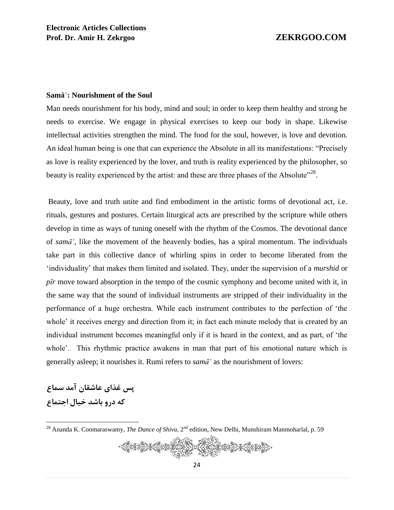# **Sama<sup>®</sup>: Nourishment of the Soul**

Man needs nourishment for his body, mind and soul; in order to keep them healthy and strong he needs to exercise. We engage in physical exercises to keep our body in shape. Likewise intellectual activities strengthen the mind. The food for the soul, however, is love and devotion. An ideal human being is one that can experience the Absolute in all its manifestations: "Precisely as love is reality experienced by the lover, and truth is reality experienced by the philosopher, so beauty is reality experienced by the artist: and these are three phases of the Absolute<sup> $28$ </sup>.

Beauty, love and truth unite and find embodiment in the artistic forms of devotional act, i.e. rituals, gestures and postures. Certain liturgical acts are prescribed by the scripture while others develop in time as ways of tuning oneself with the rhythm of the Cosmos. The devotional dance of *sama*<sup> $\epsilon$ </sup>, like the movement of the heavenly bodies, has a spiral momentum. The individuals take part in this collective dance of whirling spins in order to become liberated from the 'individuality' that makes them limited and isolated. They, under the supervision of a *murshid* or  $p\bar{i}r$  move toward absorption in the tempo of the cosmic symphony and become united with it, in the same way that the sound of individual instruments are stripped of their individuality in the performance of a huge orchestra. While each instrument contributes to the perfection of 'the whole' it receives energy and direction from it; in fact each minute melody that is created by an individual instrument becomes meaningful only if it is heard in the context, and as part, of 'the whole'. This rhythmic practice awakens in man that part of his emotional nature which is generally asleep; it nourishes it. Rumi refers to  $\text{sam}\tilde{a}^{\text{c}}$  as the nourishment of lovers:

**پس غذای عاشقان آمد سماع که درو باشد خیال اجتماع**

 $\overline{a}$ 

<sup>&</sup>lt;sup>28</sup> Ananda K. Coomaraswamy, *The Dance of Shiva*, 2<sup>nd</sup> edition, New Delhi, Munshiram Manmoharlal, p. 59

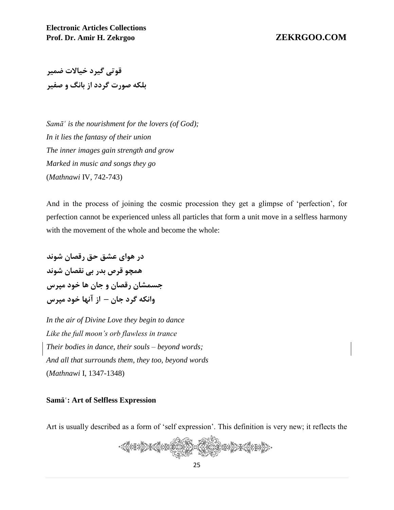**قوتی گیرد خیاالت ضمیر بلکه صورت گردد از بانگ و صفیر**

*Samā*<sup> $\cdot$ *</sup> <i>is the nourishment for the lovers (of God)*;</sup> *In it lies the fantasy of their union The inner images gain strength and grow Marked in music and songs they go* (*Mathnawi* IV, 742-743)

And in the process of joining the cosmic procession they get a glimpse of 'perfection', for perfection cannot be experienced unless all particles that form a unit move in a selfless harmony with the movement of the whole and become the whole:

**در هوای عشق حق رقصان شوند همچو قرص بدر بی نقصان شوند جسمشان رقصان و جان ها خود مپرس وانکه گرد جان – از آنها خود مپرس**

*In the air of Divine Love they begin to dance Like the full moon's orb flawless in trance Their bodies in dance, their souls – beyond words; And all that surrounds them, they too, beyond words* (*Mathnawi* I, 1347-1348)

# **Sama<sup>®</sup>: Art of Selfless Expression**

Art is usually described as a form of 'self expression'. This definition is very new; it reflects the

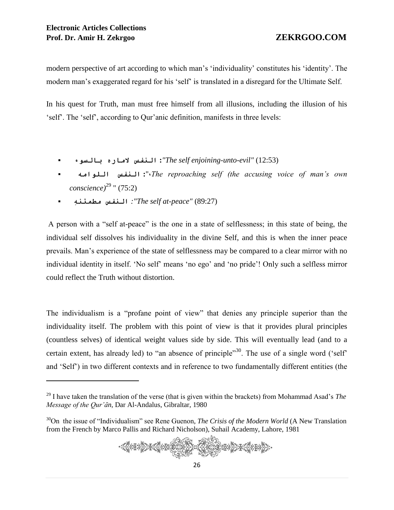modern perspective of art according to which man's 'individuality' constitutes his 'identity'. The modern man's exaggerated regard for his 'self' is translated in a disregard for the Ultimate Self.

In his quest for Truth, man must free himself from all illusions, including the illusion of his 'self'. The 'self', according to Qur'anic definition, manifests in three levels:

- بالسوء الماره النفس **:***"The self enjoining-unto-evil"* (12:53)
- اللوامه النفس **:**"،*The reproaching self (the accusing voice of man's own conscience)*<sup>29</sup> " (75:2)
- ِمطمئنه النفس *:"The self at-peace"* (89:27)

A person with a "self at-peace" is the one in a state of selflessness; in this state of being, the individual self dissolves his individuality in the divine Self, and this is when the inner peace prevails. Man's experience of the state of selflessness may be compared to a clear mirror with no individual identity in itself. 'No self' means 'no ego' and 'no pride'! Only such a selfless mirror could reflect the Truth without distortion.

The individualism is a "profane point of view" that denies any principle superior than the individuality itself. The problem with this point of view is that it provides plural principles (countless selves) of identical weight values side by side. This will eventually lead (and to a certain extent, has already led) to "an absence of principle"<sup>30</sup>. The use of a single word ('self' and 'Self') in two different contexts and in reference to two fundamentally different entities (the

<sup>&</sup>lt;sup>30</sup>On the issue of "Individualism" see Rene Guenon, *The Crisis of the Modern World* (A New Translation from the French by Marco Pallis and Richard Nicholson), Suhail Academy, Lahore, 1981



<sup>&</sup>lt;sup>29</sup> I have taken the translation of the verse (that is given within the brackets) from Mohammad Asad's *The Message of the Qur'Én,* Dar Al-Andalus, Gibraltar, 1980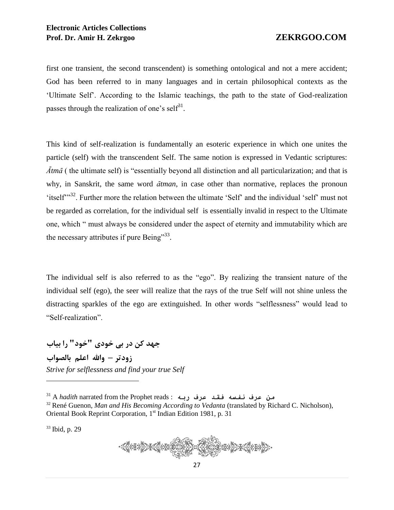first one transient, the second transcendent) is something ontological and not a mere accident; God has been referred to in many languages and in certain philosophical contexts as the 'Ultimate Self'. According to the Islamic teachings, the path to the state of God-realization passes through the realization of one's self<sup>31</sup>.

This kind of self-realization is fundamentally an esoteric experience in which one unites the particle (self) with the transcendent Self. The same notion is expressed in Vedantic scriptures:  $\overline{A}$ *tm* $\overline{A}$  ( the ultimate self) is "essentially beyond all distinction and all particularization; and that is why. in Sanskrit, the same word  $\bar{a}$ *tman*, in case other than normative, replaces the pronoun 'itself"<sup>32</sup>. Further more the relation between the ultimate 'Self' and the individual 'self' must not be regarded as correlation, for the individual self is essentially invalid in respect to the Ultimate one, which " must always be considered under the aspect of eternity and immutability which are the necessary attributes if pure Being"<sup>33</sup>.

The individual self is also referred to as the "ego". By realizing the transient nature of the individual self (ego), the seer will realize that the rays of the true Self will not shine unless the distracting sparkles of the ego are extinguished. In other words "selflessness" would lead to "Self-realization".

**جهد کن در بی خودی "خود" را بیاب زودتر – واهلل اعلم بالصواب** *Strive for selflessness and find your true Self*

<sup>31</sup> A *hadith* narrated from the Prophet reads : ربه عرف فقد نفسه عرف من

<sup>32</sup> René Guenon, *Man and His Becoming According to Vedanta* (translated by Richard C. Nicholson), Oriental Book Reprint Corporation, 1<sup>st</sup> Indian Edition 1981, p. 31

<sup>33</sup> Ibid, p. 29

 $\overline{a}$ 

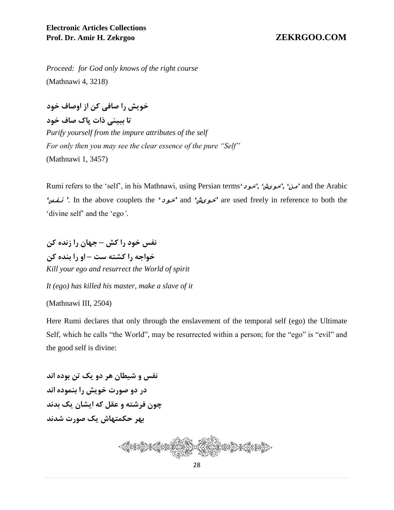*Proceed: for God only knows of the right course* (Mathnawi 4, 3218)

**خویش را صافی کن از اوصاف خود**

**تا ببینی ذات پاک صاف خود** *Purify yourself from the impure attributes of the self For only then you may see the clear essence of the pure "Self"* (Mathnawi 1, 3457)

Rumi refers to the 'self', in his Mathnawi, using Persian terms*'*خود*','* خویش*','* من *'*and the Arabic *'*نفس*' .* In the above couplets the *'*خود *'*and *'*خویش *'*are used freely in reference to both the 'divine self' and the 'ego*'*.

**نفس خود را کش – جهان را زنده کن خواجه را کشته ست – او را بنده کن** *Kill your ego and resurrect the World of spirit*

*It (ego) has killed his master, make a slave of it*

(Mathnawi III, 2504)

Here Rumi declares that only through the enslavement of the temporal self (ego) the Ultimate Self, which he calls "the World", may be resurrected within a person; for the "ego" is "evil" and the good self is divine:

**نفس و شیطان هر دو یک تن بوده اند در دو صورت خویش را بنموده اند چون فرشته و عقل که ایشان یک بدند بهر حکمتهاش یک صورت شدند**

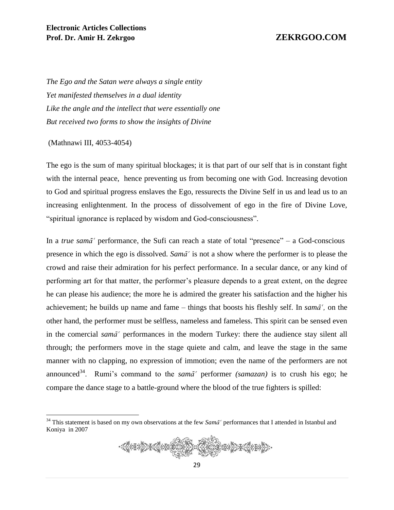*The Ego and the Satan were always a single entity Yet manifested themselves in a dual identity Like the angle and the intellect that were essentially one But received two forms to show the insights of Divine*

(Mathnawi III, 4053-4054)

 $\overline{a}$ 

The ego is the sum of many spiritual blockages; it is that part of our self that is in constant fight with the internal peace, hence preventing us from becoming one with God. Increasing devotion to God and spiritual progress enslaves the Ego, ressurects the Divine Self in us and lead us to an increasing enlightenment. In the process of dissolvement of ego in the fire of Divine Love, "spiritual ignorance is replaced by wisdom and God-consciousness".

In a *true sam* $\bar{a}$  performance, the Sufi can reach a state of total "presence" – a God-conscious presence in which the ego is dissolved. *Sama<sup><sup>\*</sup>*</sup> is not a show where the performer is to please the crowd and raise their admiration for his perfect performance. In a secular dance, or any kind of performing art for that matter, the performer's pleasure depends to a great extent, on the degree he can please his audience; the more he is admired the greater his satisfaction and the higher his achievement; he builds up name and fame – things that boosts his fleshly self. In  $\text{sam}\tilde{a}^{\epsilon}$ , on the other hand, the performer must be selfless, nameless and fameless. This spirit can be sensed even in the comercial *sama<sup>c</sup>* performances in the modern Turkey: there the audience stay silent all through; the performers move in the stage quiete and calm, and leave the stage in the same manner with no clapping, no expression of immotion; even the name of the performers are not announced<sup>34</sup>. Rumi's command to the *sama<sup>c</sup>* performer *(samazan)* is to crush his ego; he compare the dance stage to a battle-ground where the blood of the true fighters is spilled:

 $34$  This statement is based on my own observations at the few *Sama<sup>c</sup>* performances that I attended in Istanbul and Koniya in 2007

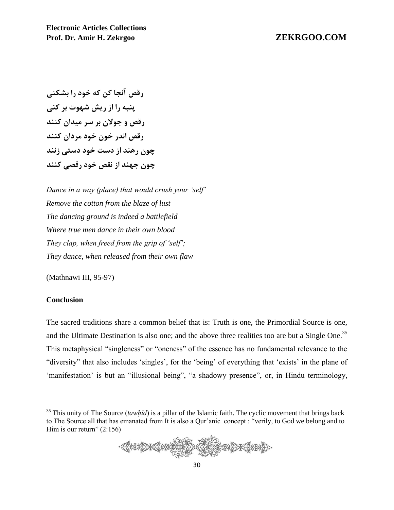**رقص آنجا کن که خود را بشکنی پنبه را از ریش شهوت بر کنی رقص و جوالن بر سر میدان کنند رقص اندر خون خود مردان کنند چون رهند از دست خود دستی زنند چون جهند از نقص خود رقصی کنند**

*Dance in a way (place) that would crush your 'self' Remove the cotton from the blaze of lust The dancing ground is indeed a battlefield Where true men dance in their own blood They clap, when freed from the grip of 'self'; They dance, when released from their own flaw*

(Mathnawi III, 95-97)

### **Conclusion**

 $\overline{a}$ 

The sacred traditions share a common belief that is: Truth is one, the Primordial Source is one, and the Ultimate Destination is also one; and the above three realities too are but a Single One.<sup>35</sup> This metaphysical "singleness" or "oneness" of the essence has no fundamental relevance to the "diversity" that also includes 'singles', for the 'being' of everything that 'exists' in the plane of 'manifestation' is but an "illusional being", "a shadowy presence", or, in Hindu terminology,

 $35$  This unity of The Source (*tawhid*) is a pillar of the Islamic faith. The cyclic movement that brings back to The Source all that has emanated from It is also a Qur'anic concept : "verily, to God we belong and to Him is our return"  $(2:156)$ 

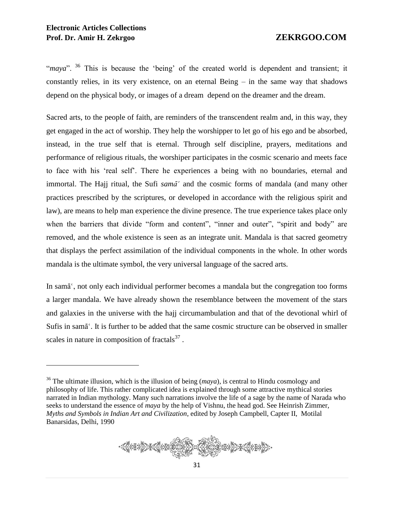"maya". <sup>36</sup> This is because the 'being' of the created world is dependent and transient; it constantly relies, in its very existence, on an eternal Being – in the same way that shadows depend on the physical body, or images of a dream depend on the dreamer and the dream.

Sacred arts, to the people of faith, are reminders of the transcendent realm and, in this way, they get engaged in the act of worship. They help the worshipper to let go of his ego and be absorbed, instead, in the true self that is eternal. Through self discipline, prayers, meditations and performance of religious rituals, the worshiper participates in the cosmic scenario and meets face to face with his 'real self'. There he experiences a being with no boundaries, eternal and immortal. The Hajj ritual, the Sufi *sama<sup>c</sup>* and the cosmic forms of mandala (and many other practices prescribed by the scriptures, or developed in accordance with the religious spirit and law), are means to help man experience the divine presence. The true experience takes place only when the barriers that divide "form and content", "inner and outer", "spirit and body" are removed, and the whole existence is seen as an integrate unit. Mandala is that sacred geometry that displays the perfect assimilation of the individual components in the whole. In other words mandala is the ultimate symbol, the very universal language of the sacred arts.

In sama<sup>s</sup>, not only each individual performer becomes a mandala but the congregation too forms a larger mandala. We have already shown the resemblance between the movement of the stars and galaxies in the universe with the hajj circumambulation and that of the devotional whirl of Sufis in sama<sup>s</sup>. It is further to be added that the same cosmic structure can be observed in smaller scales in nature in composition of fractals $^{37}$ .

<sup>&</sup>lt;sup>36</sup> The ultimate illusion, which is the illusion of being (*maya*), is central to Hindu cosmology and philosophy of life. This rather complicated idea is explained through some attractive mythical stories narrated in Indian mythology. Many such narrations involve the life of a sage by the name of Narada who seeks to understand the essence of *maya* by the help of Vishnu, the head god. See Heinrish Zimmer, *Myths and Symbols in Indian Art and Civilization*, edited by Joseph Campbell, Capter II, Motilal Banarsidas, Delhi, 1990